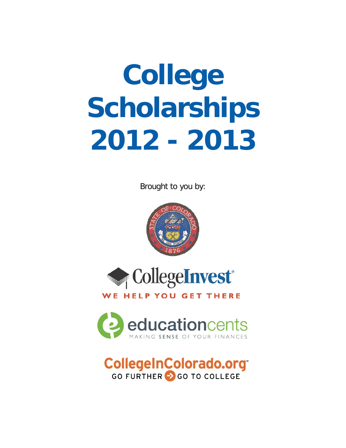# **College Scholarships 2012 - 2013**

Brought to you by:





# WE HELP YOU GET THERE



# **CollegeInColorado.org**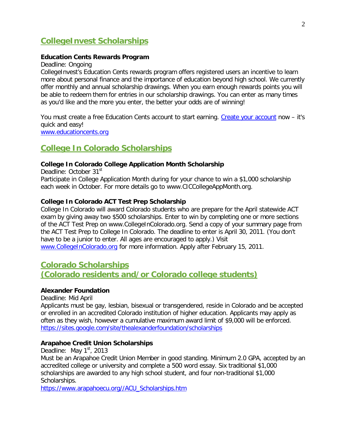# **CollegeInvest Scholarships**

#### **Education Cents Rewards Program**

Deadline: Ongoing

CollegeInvest's Education Cents rewards program offers registered users an incentive to learn more about personal finance and the importance of education beyond high school. We currently offer monthly and annual scholarship drawings. When you earn enough rewards points you will be able to redeem them for entries in our scholarship drawings. You can enter as many times as you'd like and the more you enter, the better your odds are of winning!

You must create a free Education Cents account to start earning. [Create your account](http://educationcents.org/Register.aspx) now - it's quick and easy! [www.educationcents.org](http://www.educationcents.org/)

# **College In Colorado Scholarships**

#### **College In Colorado College Application Month Scholarship**

Deadline: October 31<sup>st</sup> Participate in College Application Month during for your chance to win a \$1,000 scholarship each week in October. For more details go to www.CICCollegeAppMonth.org.

#### **College In Colorado ACT Test Prep Scholarship**

College In Colorado will award Colorado students who are prepare for the April statewide ACT exam by giving away two \$500 scholarships. Enter to win by completing one or more sections of the ACT Test Prep on www.CollegeInColorado.org. Send a copy of your summary page from the ACT Test Prep to College In Colorado. The deadline to enter is April 30, 2011. (You don't have to be a junior to enter. All ages are encouraged to apply.) Visit [www.CollegeInColorado.org](http://www.collegeincolorado.org/) for more information. Apply after February 15, 2011.

# **Colorado Scholarships**

# **(Colorado residents and/or Colorado college students)**

#### **Alexander Foundation**

#### Deadline: Mid April

Applicants must be gay, lesbian, bisexual or transgendered, reside in Colorado and be accepted or enrolled in an accredited Colorado institution of higher education. Applicants may apply as often as they wish, however a cumulative maximum award limit of \$9,000 will be enforced. <https://sites.google.com/site/thealexanderfoundation/scholarships>

#### **Arapahoe Credit Union Scholarships**

Deadline: May  $1<sup>st</sup>$ , 2013

Must be an Arapahoe Credit Union Member in good standing. Minimum 2.0 GPA, accepted by an accredited college or university and complete a 500 word essay. Six traditional \$1,000 scholarships are awarded to any high school student, and four non-traditional \$1,000 Scholarships.

[https://www.arapahoecu.org//ACU\\_Scholarships.htm](https://www.arapahoecu.org/ACU_Scholarships.htm)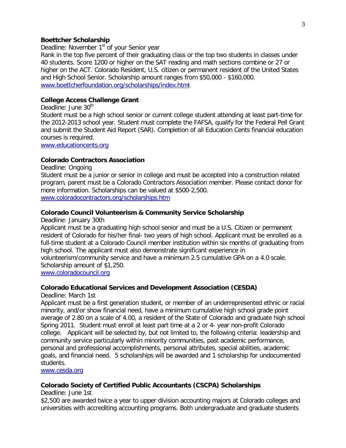#### 3

#### **Boettcher Scholarship**

Deadline: November 1<sup>st</sup> of your Senior year

Rank in the top five percent of their graduating class or the top two students in classes under 40 students. Score 1200 or higher on the SAT reading and math sections combine or 27 or higher on the ACT. Colorado Resident, U.S. citizen or permanent resident of the United States and High School Senior. Scholarship amount ranges from \$50,000 - \$160,000. [www.boettcherfoundation.org/scholarships/index.html](http://www.boettcherfoundation.org/scholarships/index.html)

#### **College Access Challenge Grant**

Deadline: June 30<sup>th</sup>

Student must be a high school senior or current college student attending at least part-time for the 2012-2013 school year. Student must complete the FAFSA, qualify for the Federal Pell Grant and submit the Student Aid Report (SAR). Completion of all Education Cents financial education courses is required.

[www.educationcents.org](http://www.educationcents.org/)

#### **Colorado Contractors Association**

Deadline: Ongoing

Student must be a junior or senior in college and must be accepted into a construction related program, parent must be a Colorado Contractors Association member. Please contact donor for more information. Scholarships can be valued at \$500-2,500. [www.coloradocontractors.org/scholarships.htm](http://www.coloradocontractors.org/scholarships.htm)

#### **Colorado Council Volunteerism & Community Service Scholarship**

Deadline: January 30th

Applicant must be a graduating high school senior and must be a U.S. Citizen or permanent resident of Colorado for his/her final- two years of high school. Applicant must be enrolled as a full-time student at a Colorado Council member institution within six months of graduating from high school. The applicant must also demonstrate significant experience in

volunteerism/community service and have a minimum 2.5 cumulative GPA on a 4.0 scale. Scholarship amount of \$1,250.

[www.coloradocouncil.org](http://www.coloradocouncil.org/)

#### **Colorado Educational Services and Development Association (CESDA)**

Deadline: March 1st

Applicant must be a first generation student, or member of an underrepresented ethnic or racial minority, and/or show financial need, have a minimum cumulative high school grade point average of 2.80 on a scale of 4.00, a resident of the State of Colorado and graduate high school Spring 2011. Student must enroll at least part time at a 2 or 4- year non-profit Colorado college. Applicant will be selected by, but not limited to, the following criteria: leadership and community service particularly within minority communities, past academic performance, personal and professional accomplishments, personal attributes, special abilities, academic goals, and financial need. 5 scholarships will be awarded and 1 scholarship for undocumented students.

[www.cesda.org](http://www.cesda.org/)

#### **Colorado Society of Certified Public Accountants (CSCPA) Scholarships**

Deadline: June 1st

\$2,500 are awarded twice a year to upper division accounting majors at Colorado colleges and universities with accrediting accounting programs. Both undergraduate and graduate students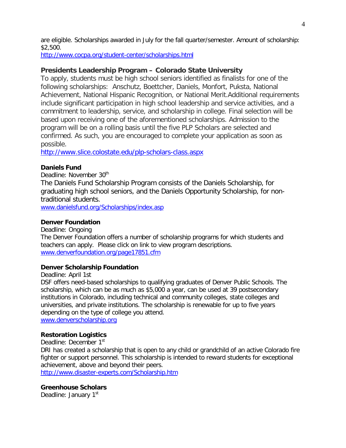are eligible. Scholarships awarded in July for the fall quarter/semester. Amount of scholarship: \$2,500.

<http://www.cocpa.org/student-center/scholarships.html>

#### **Presidents Leadership Program – Colorado State University**

To apply, students must be high school seniors identified as finalists for one of the following scholarships: Anschutz, Boettcher, Daniels, Monfort, Puksta, National Achievement, National Hispanic Recognition, or National Merit.Additional requirements include significant participation in high school leadership and service activities, and a commitment to leadership, service, and scholarship in college. Final selection will be based upon receiving one of the aforementioned scholarships. Admission to the program will be on a rolling basis until the five PLP Scholars are selected and confirmed. As such, you are encouraged to complete your application as soon as possible.

<http://www.slice.colostate.edu/plp-scholars-class.aspx>

#### **Daniels Fund**

Deadline: November 30<sup>th</sup>

The Daniels Fund Scholarship Program consists of the Daniels Scholarship, for graduating high school seniors, and the Daniels Opportunity Scholarship, for nontraditional students.

[www.danielsfund.org/Scholarships/index.asp](http://www.danielsfund.org/Scholarships/index.asp)

#### **Denver Foundation**

Deadline: Ongoing The Denver Foundation offers a number of scholarship programs for which students and teachers can apply. Please click on link to view program descriptions. [www.denverfoundation.org/page17851.cfm](http://www.denverfoundation.org/page17851.cfm)

#### **Denver Scholarship Foundation**

Deadline: April 1st

DSF offers need-based scholarships to qualifying graduates of Denver Public Schools. The scholarship, which can be as much as \$5,000 a year, can be used at [39 postsecondary](https://www.denverscholarship.org/Page.aspx?pid=767)  [institutions](https://www.denverscholarship.org/Page.aspx?pid=767) in Colorado, including technical and community colleges, state colleges and universities, and private institutions. The scholarship is renewable for up to five years depending on the type of college you attend.

[www.denverscholarship.org](http://www.denverscholarship.org/)

#### **Restoration Logistics**

Deadline: December 1<sup>st</sup>

DRI has created a scholarship that is open to any child or grandchild of an active Colorado fire fighter or support personnel. This scholarship is intended to reward students for exceptional achievement, above and beyond their peers.

<http://www.disaster-experts.com/Scholarship.htm>

#### **Greenhouse Scholars**

Deadline: January 1<sup>st</sup>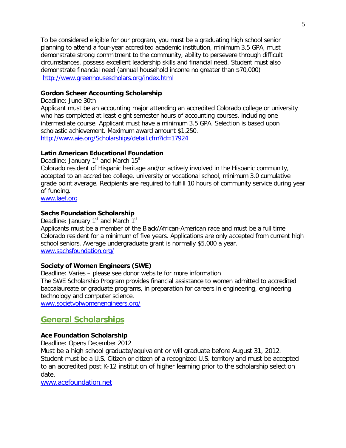To be considered eligible for our program, you must be a graduating high school senior planning to attend a four-year accredited academic institution, minimum 3.5 GPA, must demonstrate strong commitment to the community, ability to persevere through difficult circumstances, possess excellent leadership skills and financial need. Student must also demonstrate financial need (annual household income no greater than \$70,000) <http://www.greenhousescholars.org/index.html>

#### **Gordon Scheer Accounting Scholarship**

Deadline: June 30th

Applicant must be an accounting major attending an accredited Colorado college or university who has completed at least eight semester hours of accounting courses, including one intermediate course. Applicant must have a minimum 3.5 GPA. Selection is based upon scholastic achievement. Maximum award amount \$1,250. <http://www.aie.org/Scholarships/detail.cfm?id=17924>

#### **Latin American Educational Foundation**

Deadline: January  $1<sup>st</sup>$  and March  $15<sup>th</sup>$ Colorado resident of Hispanic heritage and/or actively involved in the Hispanic community, accepted to an accredited college, university or vocational school, minimum 3.0 cumulative grade point average. Recipients are required to fulfill 10 hours of community service during year of funding.

[www.laef.org](http://www.laef.org/)

#### **Sachs Foundation Scholarship**

Deadline: January  $1<sup>st</sup>$  and March  $1<sup>st</sup>$ Applicants must be a member of the Black/African-American race and must be a full time Colorado resident for a minimum of five years. Applications are only accepted from current high school seniors. Average undergraduate grant is normally \$5,000 a year. [www.sachsfoundation.org/](http://www.sachsfoundation.org/)

#### **Society of Women Engineers (SWE)**

Deadline: Varies – please see donor website for more information The SWE Scholarship Program provides financial assistance to women admitted to accredited baccalaureate or graduate programs, in preparation for careers in engineering, engineering technology and computer science.

[www.societyofwomenengineers.org/](http://www.societyofwomenengineers.org/)

# **General Scholarships**

#### **Ace Foundation Scholarship**

Deadline: Opens December 2012

Must be a high school graduate/equivalent or will graduate before August 31, 2012. Student must be a U.S. Citizen or citizen of a recognized U.S. territory and must be accepted to an accredited post K-12 institution of higher learning prior to the scholarship selection date.

[www.acefoundation.net](http://www.acefoundation.net/)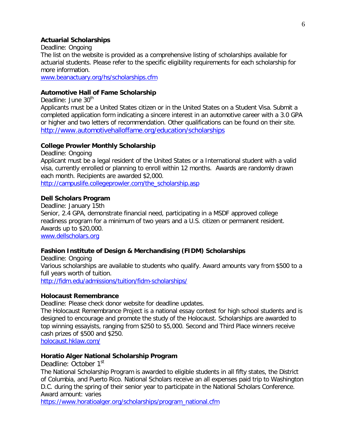#### **Actuarial Scholarships**

Deadline: Ongoing

The list on the website is provided as a comprehensive listing of scholarships available for actuarial students. Please refer to the specific eligibility requirements for each scholarship for more information.

[www.beanactuary.org/hs/scholarships.cfm](http://www.beanactuary.org/hs/scholarships.cfm)

#### **Automotive Hall of Fame Scholarship**

Deadline: June 30<sup>th</sup>

Applicants must be a United States citizen or in the United States on a Student Visa. Submit a completed application form indicating a sincere interest in an automotive career with a 3.0 GPA or higher and two letters of recommendation. Other qualifications can be found on their site. <http://www.automotivehalloffame.org/education/scholarships>

#### **College Prowler Monthly Scholarship**

Deadline: Ongoing

Applicant must be a legal resident of the United States or a International student with a valid visa, currently enrolled or planning to enroll within 12 months. Awards are randomly drawn each month. Recipients are awarded \$2,000.

http://campuslife.collegeprowler.com/the\_scholarship.asp

#### **Dell Scholars Program**

Deadline: January 15th Senior, 2.4 GPA, demonstrate financial need, participating in a MSDF [approved college](http://www.dellscholars.org/crp.aspx?Students)  [readiness program](http://www.dellscholars.org/crp.aspx?Students) for a minimum of two years and a U.S. citizen or permanent resident. Awards up to \$20,000. [www.dellscholars.org](http://www.dellscholars.org/)

#### **Fashion Institute of Design & Merchandising (FIDM) Scholarships**

Deadline: Ongoing Various scholarships are available to students who qualify. Award amounts vary from \$500 to a full years worth of tuition. <http://fidm.edu/admissions/tuition/fidm-scholarships/>

#### **Holocaust Remembrance**

Deadline: Please check donor website for deadline updates.

The Holocaust Remembrance Project is a national essay contest for high school students and is designed to encourage and promote the study of the Holocaust. Scholarships are awarded to top winning essayists, ranging from \$250 to \$5,000. Second and Third Place winners receive cash prizes of \$500 and \$250.

[holocaust.hklaw.com/](http://holocaust.hklaw.com/)

#### **Horatio Alger National Scholarship Program**

Deadline: October 1<sup>st</sup> The National Scholarship Program is awarded to eligible students in all fifty states, the District of Columbia, and Puerto Rico. National Scholars receive an all expenses paid trip to Washington D.C. during the spring of their senior year to participate in the National Scholars Conference. Award amount: varies

[https://www.horatioalger.org/scholarships/program\\_national.cfm](https://www.horatioalger.org/scholarships/program_national.cfm)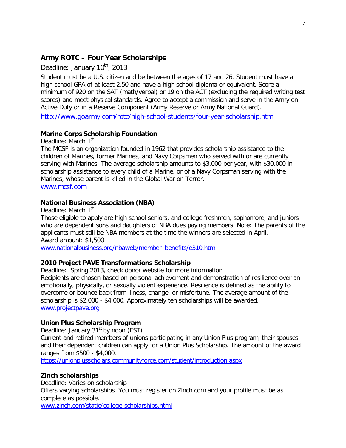#### **Army ROTC – Four Year Scholarships**

Deadline: January 10<sup>th</sup>, 2013

Student must be a U.S. citizen and be between the ages of 17 and 26. Student must have a high school GPA of at least 2.50 and have a high school diploma or equivalent. Score a minimum of 920 on the SAT (math/verbal) or 19 on the ACT (excluding the required writing test scores) and meet physical [standards.](http://www.goarmy.com/content/dam/goarmy/downloaded_assets/docs/hs-scholarship-physical-assessment-12.doc) Agree to accept a commission and serve in the Army on Active Duty or in a Reserve Component (Army Reserve or Army National Guard).

<http://www.goarmy.com/rotc/high-school-students/four-year-scholarship.html>

#### **Marine Corps Scholarship Foundation**

Deadline: March 1<sup>st</sup>

The MCSF is an organization founded in 1962 that provides scholarship assistance to the children of Marines, former Marines, and Navy Corpsmen who served with or are currently serving with Marines. The average scholarship amounts to \$3,000 per year, with \$30,000 in scholarship assistance to every child of a Marine, or of a Navy Corpsman serving with the Marines, whose parent is killed in the Global War on Terror. [www.mcsf.com](http://www.mcsf.com/)

#### **National Business Association (NBA)**

Deadline: March 1st

Those eligible to apply are high school seniors, and college freshmen, sophomore, and juniors who are dependent sons and daughters of NBA dues paying members. Note: The parents of the applicants must still be NBA members at the time the winners are selected in April. Award amount: \$1,500

www.nationalbusiness.org/nbaweb/member\_benefits/e310.htm

#### **2010 Project PAVE Transformations Scholarship**

Deadline: Spring 2013, check donor website for more information Recipients are chosen based on personal achievement and demonstration of resilience over an emotionally, physically, or sexually violent experience. Resilience is defined as the ability to overcome or bounce back from illness, change, or misfortune. The average amount of the scholarship is \$2,000 - \$4,000. Approximately ten scholarships will be awarded. [www.projectpave.org](http://www.projectpave.org/)

#### **Union Plus Scholarship Program**

Deadline: January  $31<sup>st</sup>$  by noon (EST)

Current and retired members of unions participating in any Union Plus program, their spouses and their dependent children can apply for a Union Plus Scholarship. The amount of the award ranges from \$500 - \$4,000.

[https://unionplusscholars.communityforce.com/student/introduction.aspx](http://www.unionplus.org/benefits/education/scholarships/up.cfm)

#### **Zinch scholarships**

Deadline: Varies on scholarship Offers varying scholarships. You must register on Zinch.com and your profile must be as complete as possible.

[www.zinch.com/static/college-scholarships.html](http://www.zinch.com/static/college-scholarships.html)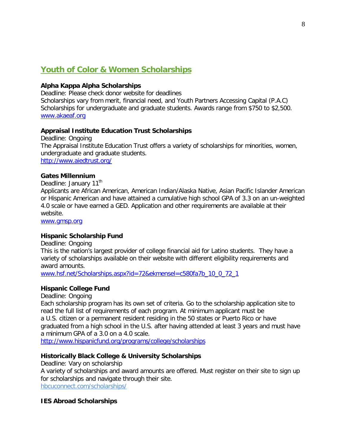# **Youth of Color & Women Scholarships**

#### **Alpha Kappa Alpha Scholarships**

Deadline: Please check donor website for deadlines Scholarships vary from merit, financial need, and Youth Partners Accessing Capital (P.A.C) Scholarships for undergraduate and graduate students. Awards range from \$750 to \$2,500. [www.akaeaf.org](http://www.akaeaf.org/)

#### **Appraisal Institute Education Trust Scholarships**

Deadline: Ongoing The Appraisal Institute Education Trust offers a variety of scholarships for minorities, women, undergraduate and graduate students. <http://www.aiedtrust.org/>

#### **Gates Millennium**

Deadline: January 11<sup>th</sup> Applicants are African American, American Indian/Alaska Native, Asian Pacific Islander American or Hispanic American and have attained a cumulative high school GPA of 3.3 on an un-weighted 4.0 scale or have earned a GED. Application and other requirements are available at their website.

[www.gmsp.org](http://www.gmsp.org/)

#### **Hispanic Scholarship Fund**

Deadline: Ongoing

This is the nation's largest provider of college financial aid for Latino students. They have a variety of scholarships available on their website with different eligibility requirements and award amounts.

[www.hsf.net/Scholarships.aspx?id=72&ekmensel=c580fa7b\\_10\\_0\\_72\\_1](http://www.hsf.net/Scholarships.aspx?id=72&ekmensel=c580fa7b_10_0_72_1)

#### **Hispanic College Fund**

Deadline: Ongoing

Each scholarship program has its own set of criteria. Go to the scholarship application site to read the full list of requirements of each program. At minimum applicant must be a U.S. citizen or a permanent resident residing in the 50 states or Puerto Rico or have graduated from a high school in the U.S. after having attended at least 3 years and must have a minimum GPA of a 3.0 on a 4.0 scale.

<http://www.hispanicfund.org/>programs/college/scholarships

#### **Historically Black College & University Scholarships**

Deadline: Vary on scholarship A variety of scholarships and award amounts are offered. Must register on their site to sign up for scholarships and navigate through their site. hbcuconnect.com/scholarships/

#### **IES Abroad Scholarships**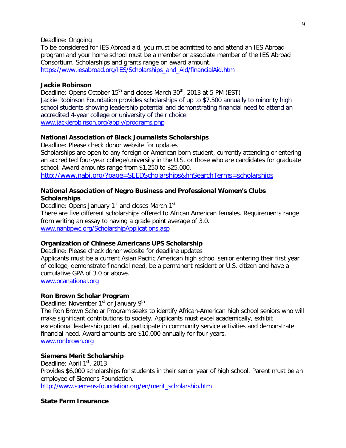#### Deadline: Ongoing

To be considered for IES Abroad aid, you must be admitted to and attend an IES Abroad program and your home school must be a member or associate member of the IES Abroad Consortium. Scholarships and grants range on award amount.

[https://www.iesabroad.org/IES/Scholarships\\_and\\_Aid/financialAid.html](https://www.iesabroad.org/IES/Scholarships_and_Aid/financialAid.html)

#### **Jackie Robinson**

Deadline: Opens October  $15<sup>th</sup>$  and closes March  $30<sup>th</sup>$ , 2013 at 5 PM (EST) Jackie Robinson Foundation provides scholarships of up to \$7,500 annually to minority high school students showing leadership potential and demonstrating financial need to attend an accredited 4-year college or university of their choice. [www.jackierobinson.org/apply/programs.php](http://www.jackierobinson.org/apply/programs.php)

**National Association of Black Journalists Scholarships** 

Deadline: Please check donor website for updates

Scholarships are open to any foreign or American born student, currently attending or entering an accredited four-year college/university in the U.S. or those who are candidates for graduate school. Award amounts range from \$1,250 to \$25,000.

<http://www.nabj.org/?page=SEEDScholarships&hhSearchTerms=scholarships>

#### **National Association of Negro Business and Professional Women's Clubs Scholarships**

Deadline: Opens January 1<sup>st</sup> and closes March 1<sup>st</sup> There are five different scholarships offered to African American females. Requirements range from writing an essay to having a grade point average of 3.0. www.nanbpwc.org/ScholarshipApplications.asp

#### **Organization of Chinese Americans UPS Scholarship**

Deadline: Please check donor website for deadline updates Applicants must be a current Asian Pacific American high school senior entering their first year of college, demonstrate financial need, be a permanent resident or U.S. citizen and have a cumulative GPA of 3.0 or above. www.ocanational.org

#### **Ron Brown Scholar Program**

Deadline: November 1<sup>st</sup> or January 9<sup>th</sup>

The Ron Brown Scholar Program seeks to identify African-American high school seniors who will make significant contributions to society. Applicants must excel academically, exhibit exceptional leadership potential, participate in community service activities and demonstrate financial need. Award amounts are \$10,000 annually for four years. [www.ronbrown.org](http://www.ronbrown.org/)

#### **Siemens Merit Scholarship**

Deadline: April  $1<sup>st</sup>$ , 2013 Provides \$6,000 scholarships for students in their senior year of high school. Parent must be an employee of Siemens Foundation. [http://www.siemens-foundation.org/en/merit\\_scholarship.htm](http://www.siemens-foundation.org/en/merit_scholarship.htm)

#### **State Farm Insurance**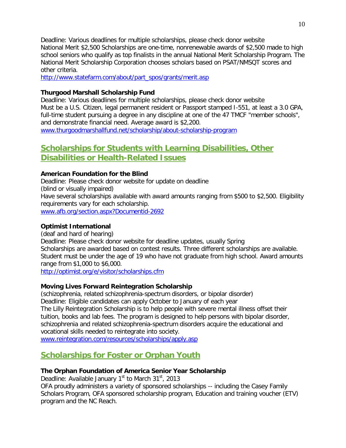Deadline: Various deadlines for multiple scholarships, please check donor website National Merit \$2,500 Scholarships are one-time, nonrenewable awards of \$2,500 made to high school seniors who qualify as top finalists in the annual National Merit Scholarship Program. The National Merit Scholarship Corporation chooses scholars based on PSAT/NMSQT scores and other criteria.

[http://www.statefarm.com/about/part\\_spos/grants/merit.asp](http://www.statefarm.com/about/part_spos/grants/merit.asp)

#### **Thurgood Marshall Scholarship Fund**

Deadline: Various deadlines for multiple scholarships, please check donor website Must be a U.S. Citizen, legal permanent resident or Passport stamped I-551, at least a 3.0 GPA, full-time student pursuing a degree in any discipline at one of the 47 TMCF "member schools", and demonstrate financial need. Average award is \$2,200. [www.thurgoodmarshallfund.net/scholarship/about-scholarship-program](http://www.thurgoodmarshallfund.net/scholarship/about-scholarship-program)

# **Scholarships for Students with Learning Disabilities, Other**

# **Disabilities or Health-Related Issues**

# **American Foundation for the Blind**

Deadline: Please check donor website for update on deadline (blind or visually impaired) Have several scholarships available with award amounts ranging from \$500 to \$2,500. Eligibility requirements vary for each scholarship. [www.afb.org/section.aspx?Documentid-2692](http://www.afb.org/section.aspx?Documentid-2692)

# **Optimist International**

(deaf and hard of hearing) Deadline: Please check donor website for deadline updates, usually Spring Scholarships are awarded based on contest results. Three different scholarships are available. Student must be under the age of 19 who have not graduate from high school. Award amounts range from \$1,000 to \$6,000.

<http://optimist.org/e/visitor/scholarships.cfm>

# **Moving Lives Forward Reintegration Scholarship**

(schizophrenia, related schizophrenia-spectrum disorders, or bipolar disorder) Deadline: Eligible candidates can apply October to January of each year The Lilly Reintegration Scholarship is to help people with severe mental illness offset their tuition, books and lab fees. The program is designed to help persons with bipolar disorder, schizophrenia and related schizophrenia-spectrum disorders acquire the educational and vocational skills needed to reintegrate into society.

[www.reintegration.com/resources/scholarships/apply.asp](http://www.reintegration.com/resources/scholarships/apply.asp)

# **Scholarships for Foster or Orphan Youth**

# **The Orphan Foundation of America Senior Year Scholarship**

Deadline: Available January  $1<sup>st</sup>$  to March  $31<sup>st</sup>$ , 2013

OFA proudly administers a variety of sponsored scholarships -- including the Casey Family Scholars Program, OFA sponsored scholarship program, Education and training voucher (ETV) program and the NC Reach.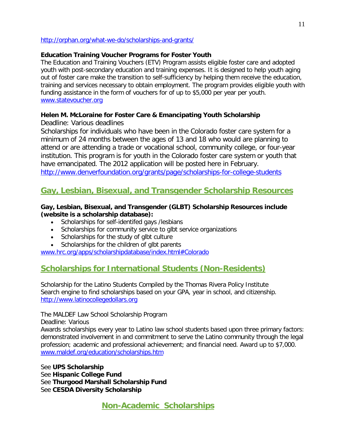#### <http://orphan.org/what-we-do/scholarships-and-grants/>

#### **Education Training Voucher Programs for Foster Youth**

The Education and Training Vouchers (ETV) Program assists eligible foster care and adopted youth with post-secondary education and training expenses. It is designed to help youth aging out of foster care make the transition to self-sufficiency by helping them receive the education, training and services necessary to obtain employment. The program provides eligible youth with funding assistance in the form of vouchers for of up to \$5,000 per year per youth. [www.statevoucher.org](http://www.statevoucher.org/)

#### **Helen M. McLoraine for Foster Care & Emancipating Youth Scholarship**

Deadline: Various deadlines

Scholarships for individuals who have been in the Colorado foster care system for a minimum of 24 months between the ages of 13 and 18 who would are planning to attend or are attending a trade or vocational school, community college, or four-year institution. This program is for youth in the Colorado foster care system or youth that have emancipated. The 2012 application will be posted here in February. <http://www.denverfoundation.org/grants/page/scholarships-for-college-students>

# **Gay, Lesbian, Bisexual, and Transgender Scholarship Resources**

#### **Gay, Lesbian, Bisexual, and Transgender (GLBT) Scholarship Resources include (website is a scholarship database):**

- Scholarships for self-identifed gays /lesbians
- Scholarships for community service to glbt service organizations
- Scholarships for the study of glbt culture
- Scholarships for the children of glbt parents

[www.hrc.org/apps/scholarshipdatabase/index.html#Colorado](http://www.washburn.edu/sobu/broach/glbt-scholar.html)

# **Scholarships for International Students (Non-Residents)**

Scholarship for the Latino Students Compiled by the Thomas Rivera Policy Institute Search engine to find scholarships based on your GPA, year in school, and citizenship. [http://www.latinocollegedollars.org](http://www.latinocollegedollars.org/)

The MALDEF Law School Scholarship Program

Deadline: Various

Awards scholarships every year to Latino law school students based upon three primary factors: demonstrated involvement in and commitment to serve the Latino community through the legal profession; academic and professional achievement; and financial need. Award up to \$7,000. [www.maldef.org/education/scholarships.htm](http://www.maldef.org/education/scholarships.htm)

See **UPS Scholarship** See **Hispanic College Fund** See **Thurgood Marshall Scholarship Fund** See **CESDA Diversity Scholarship**

**Non-Academic Scholarships**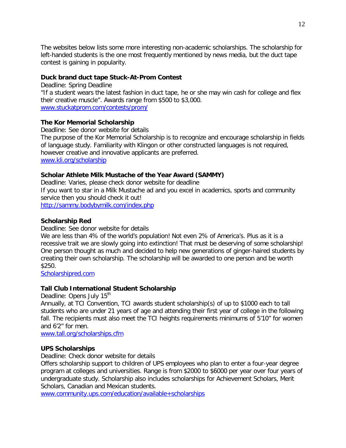The websites below lists some more interesting non-academic scholarships. The scholarship for left-handed students is the one most frequently mentioned by news media, but the duct tape contest is gaining in popularity.

#### **Duck brand duct tape Stuck-At-Prom Contest**

Deadline: Spring Deadline "If a student wears the latest fashion in duct tape, he or she may win cash for college and flex their creative muscle". Awards range from \$500 to \$3,000. [www.stuckatprom.com/contests/prom/](http://www.stuckatprom.com/contests/prom/)

#### **The Kor Memorial Scholarship**

Deadline: See donor website for details The purpose of the Kor Memorial Scholarship is to recognize and encourage scholarship in fields of language study. Familiarity with Klingon or other constructed languages is not required, however creative and innovative applicants are preferred. [www.kli.org/scholarship](http://www.kli.org/scholarship)

#### **Scholar Athlete Milk Mustache of the Year Award (SAMMY)**

Deadline: Varies, please check donor website for deadline If you want to star in a Milk Mustache ad and you excel in academics, sports and community service then you should check it out! <http://sammy.bodybymilk.com/index.php>

#### **Scholarship Red**

Deadline: See donor website for details

We are less than 4% of the world's population! Not even 2% of America's. Plus as it is a recessive trait we are slowly going into extinction! That must be deserving of some scholarship! One person thought as much and decided to help new generations of ginger-haired students by creating their own scholarship. The scholarship will be awarded to one person and be worth \$250.

[Scholarshipred.com](mailto:Scholarshipred.com)

#### **Tall Club International Student Scholarship**

Deadline: Opens July 15<sup>th</sup>

Annually, at TCI Convention, TCI awards student scholarship(s) of up to \$1000 each to tall students who are under 21 years of age and attending their first year of college in the following fall. The recipients must also meet the TCI heights requirements minimums of 5'10" for women and 6'2" for men.

[www.tall.org/scholarships.cfm](http://www.tall.org/scholarships.cfm)

#### **UPS Scholarships**

Deadline: Check donor website for details

Offers scholarship support to children of UPS employees who plan to enter a four-year degree program at colleges and universities. Range is from \$2000 to \$6000 per year over four years of undergraduate study. Scholarship also includes scholarships for Achievement Scholars, Merit Scholars, Canadian and Mexican students.

[www.community.ups.com/education/available+scholarships](http://www.community.ups.com/education/available+scholarships)